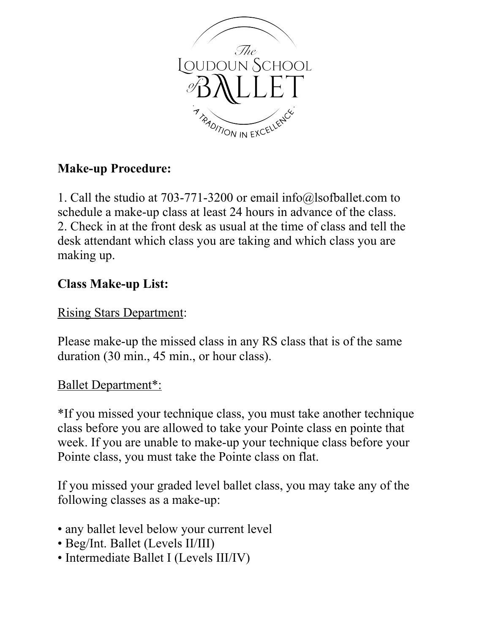

## **Make-up Procedure:**

1. Call the studio at 703-771-3200 or email info@lsofballet.com to schedule a make-up class at least 24 hours in advance of the class. 2. Check in at the front desk as usual at the time of class and tell the desk attendant which class you are taking and which class you are making up.

## **Class Make-up List:**

## Rising Stars Department:

Please make-up the missed class in any RS class that is of the same duration (30 min., 45 min., or hour class).

## Ballet Department\*:

\*If you missed your technique class, you must take another technique class before you are allowed to take your Pointe class en pointe that week. If you are unable to make-up your technique class before your Pointe class, you must take the Pointe class on flat.

If you missed your graded level ballet class, you may take any of the following classes as a make-up:

- any ballet level below your current level
- Beg/Int. Ballet (Levels II/III)
- Intermediate Ballet I (Levels III/IV)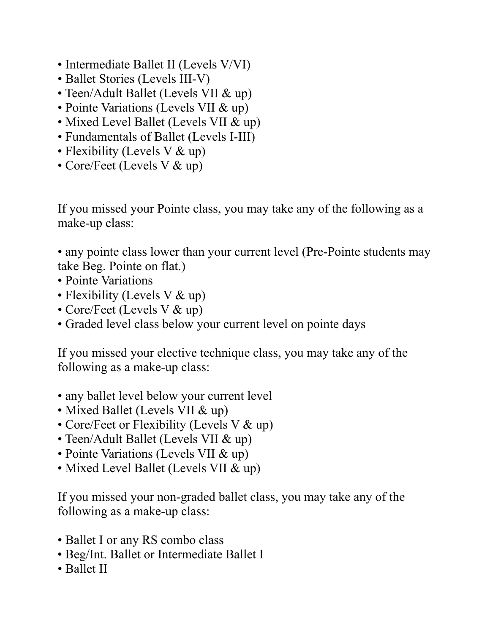- Intermediate Ballet II (Levels V/VI)
- Ballet Stories (Levels III-V)
- Teen/Adult Ballet (Levels VII & up)
- Pointe Variations (Levels VII & up)
- Mixed Level Ballet (Levels VII & up)
- Fundamentals of Ballet (Levels I-III)
- Flexibility (Levels V & up)
- Core/Feet (Levels V & up)

If you missed your Pointe class, you may take any of the following as a make-up class:

• any pointe class lower than your current level (Pre-Pointe students may take Beg. Pointe on flat.)

- Pointe Variations
- Flexibility (Levels V & up)
- Core/Feet (Levels V & up)
- Graded level class below your current level on pointe days

If you missed your elective technique class, you may take any of the following as a make-up class:

- any ballet level below your current level
- Mixed Ballet (Levels VII & up)
- Core/Feet or Flexibility (Levels V & up)
- Teen/Adult Ballet (Levels VII & up)
- Pointe Variations (Levels VII & up)
- Mixed Level Ballet (Levels VII & up)

If you missed your non-graded ballet class, you may take any of the following as a make-up class:

- Ballet I or any RS combo class
- Beg/Int. Ballet or Intermediate Ballet I
- Ballet II